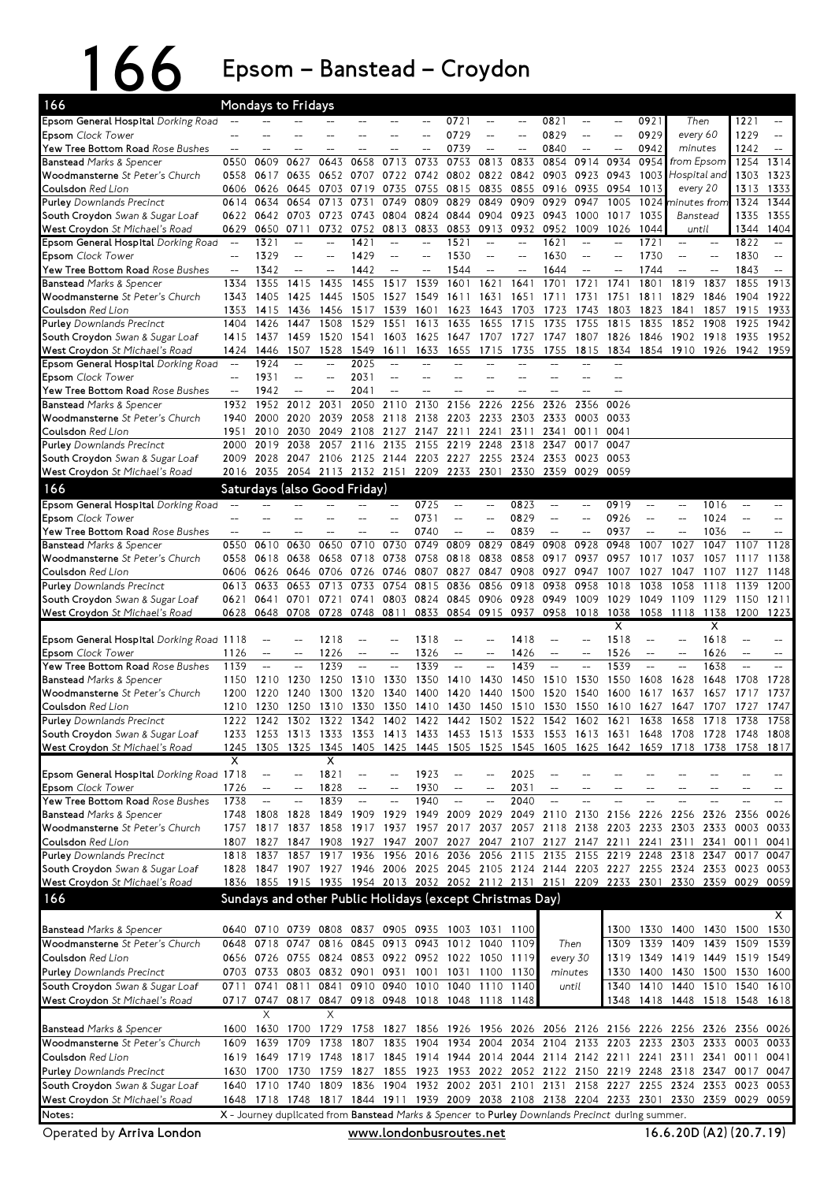## 166 Epsom – Banstead – Croydon

| 166                                                                            |                          | Mondays to Fridays       |                                                          |                          |                                     |                          |                                                                                           |                          |                          |              |                                                   |                        |                                                                                                                                                |                          |                            |              |                        |                        |
|--------------------------------------------------------------------------------|--------------------------|--------------------------|----------------------------------------------------------|--------------------------|-------------------------------------|--------------------------|-------------------------------------------------------------------------------------------|--------------------------|--------------------------|--------------|---------------------------------------------------|------------------------|------------------------------------------------------------------------------------------------------------------------------------------------|--------------------------|----------------------------|--------------|------------------------|------------------------|
| Epsom General Hospital Dorking Road                                            |                          |                          |                                                          |                          |                                     |                          |                                                                                           | 0721                     | --                       |              | 0821                                              | --                     |                                                                                                                                                | 0921                     | Then                       |              | 1221                   | $-$                    |
| <b>Epsom</b> Clock Tower                                                       |                          |                          |                                                          |                          |                                     |                          |                                                                                           | 0729                     | $-$                      |              | 0829                                              | $-$                    | $\overline{\phantom{a}}$                                                                                                                       | 0929                     | every 60                   |              | 1229                   | $-$                    |
| <b>Yew Tree Bottom Road</b> <i>Rose Bushes</i>                                 | --                       |                          |                                                          |                          |                                     |                          |                                                                                           | 0739                     | $\overline{a}$           |              | 0840                                              | $-$                    | $-$                                                                                                                                            | 0942                     | minutes                    |              | 1242                   | $-$                    |
| Banstead Marks & Spencer                                                       | 0550                     | 0609                     | 0627<br>0635                                             | 0643<br>0652             | 0658<br>0707                        | 0713                     | 0733<br>0742                                                                              | 0753                     | 0813<br>0822             | 0833<br>0842 | 0854                                              | 0914                   | 0934                                                                                                                                           | 0954<br>1003             | from Epsom<br>Hospital and |              | 1254                   | 1314<br>1323           |
| <b>Woodmansterne</b> St Peter's Church<br><b>Coulsdon</b> Red Lion             | 0558<br>0606             | 0617<br>0626             | 0645                                                     | 0703                     | 0719                                | 0722<br>0735             | 0755                                                                                      | 0802<br>0815             | 0835                     | 0855         | 0903<br>0916                                      | 0923<br>0935           | 0943<br>0954                                                                                                                                   | 1013                     | every 20                   |              | 1303<br>1313           | 1333                   |
| Purley Downlands Precinct                                                      | 0614                     | 0634                     | 0654                                                     | 0713                     | 0731                                | 0749                     | 0809                                                                                      | 0829                     | 0849                     | 0909         | 0929                                              | 0947                   | 1005                                                                                                                                           | 1024                     | ninutes from               |              | 1324                   | 1344                   |
| <b>South Croydon</b> Swan & Sugar Loaf                                         | 0622                     | 0642                     | 0703                                                     | 0723                     | 0743                                | 0804                     | 0824                                                                                      | 0844                     | 0904                     | 0923         | 0943                                              | 1000                   | 1017                                                                                                                                           | 1035                     | Banstead                   |              | 1335                   | 1355                   |
| <b>West Croydon</b> St Michael's Road                                          | 0629                     | 0650                     | 0711                                                     | 0732                     | 0752                                | 0813                     | 0833                                                                                      | 0853                     | 0913                     | 0932         | 0952                                              | 1009                   | 1026                                                                                                                                           | 1044                     | until                      |              | 1344                   | 1404                   |
| <b>Epsom General Hospital</b> Dorking Road                                     | $\sim$                   | 1321                     |                                                          |                          | 1421                                |                          |                                                                                           | 1521                     |                          |              | 1621                                              |                        |                                                                                                                                                | 1721                     |                            |              | 1822                   |                        |
| <b>Epsom</b> Clock Tower                                                       |                          | 1329                     | $\overline{\phantom{a}}$                                 | $\overline{a}$           | 1429                                | $-$                      | $\overline{a}$                                                                            | 1530                     | $-$                      |              | 1630                                              | $-$                    |                                                                                                                                                | 1730                     |                            |              | 1830                   | $-$                    |
| <b>Yew Tree Bottom Road</b> Rose Bushes                                        | $\overline{a}$           | 1342                     | $-$                                                      | $\overline{a}$           | 1442                                | $\overline{\phantom{a}}$ | $-$                                                                                       | 1544                     | $-$                      |              | 1644                                              | $-$                    |                                                                                                                                                | 1744                     | $-$                        |              | 1843                   | $-$                    |
| <b>Banstead Marks &amp; Spencer</b>                                            | 1334                     | 1355                     | 1415                                                     | 1435                     | 1455                                | 1517                     | 1539                                                                                      | 1601                     | 1621                     | 1641         | 1701                                              | 1721                   | 1741                                                                                                                                           | 1801                     | 1819                       | 1837         | 1855                   | 1913                   |
| <b>Woodmansterne</b> St Peter's Church                                         | 1343                     | 1405                     | 1425                                                     | 1445                     | 1505                                | 1527                     | 1549                                                                                      | 1611                     | 1631                     | 1651         | 1711                                              | 1731                   | 1751                                                                                                                                           | 1811                     | 1829                       | 1846         | 1904                   | 1922                   |
| <b>Coulsdon</b> Red Lion<br><b>Purley</b> Downlands Precinct                   | 1353<br>1404             | 1415<br>1426             | 1436<br>1447                                             | 1456<br>1508             | 1517<br>1529                        | 1539<br>1551             | 1601<br>1613                                                                              | 1623<br>1635             | 1643<br>1655             | 1703<br>1715 | 1723<br>1735                                      | 1743<br>1755           | 1803<br>1815                                                                                                                                   | 1823<br>1835             | 1841<br>1852               | 1857<br>1908 | 1915<br>1925           | 1933<br>1942           |
| <b>South Croydon</b> Swan & Sugar Loaf                                         | 1415                     | 1437                     | 1459                                                     | 1520                     | 1541                                | 1603                     | 1625                                                                                      | 1647                     | 1707                     | 1727         | 1747                                              | 1807                   | 1826                                                                                                                                           | 1846                     | 1902 1918                  |              | 1935                   | 1952                   |
| <b>West Croydon</b> St Michael's Road                                          | 1424                     | 1446                     | 1507                                                     | 1528                     | 1549                                | 1611                     | 1633                                                                                      | 1655                     | 1715                     | 1735         | 1755                                              | 1815                   | 1834                                                                                                                                           | 1854                     | 1910 1926                  |              | 1942                   | 1959                   |
| Epsom General Hospital Dorking Road                                            |                          | 1924                     |                                                          | $\overline{\phantom{0}}$ | 2025                                |                          |                                                                                           |                          |                          |              |                                                   |                        |                                                                                                                                                |                          |                            |              |                        |                        |
| <b>Epsom</b> Clock Tower                                                       | $-$                      | 1931                     | $-$                                                      | $\overline{a}$           | 2031                                |                          |                                                                                           |                          |                          |              |                                                   |                        |                                                                                                                                                |                          |                            |              |                        |                        |
| Yew Tree Bottom Road Rose Bushes                                               | $-$                      | 1942                     | $-$                                                      | $\overline{a}$           | 2041                                | $\overline{a}$           |                                                                                           |                          |                          |              |                                                   | --                     | $=$                                                                                                                                            |                          |                            |              |                        |                        |
| <b>Banstead</b> Marks & Spencer                                                | 1932                     | 1952                     | 2012                                                     | 2031                     | 2050                                | 2110                     | 2130                                                                                      | 2156                     | 2226                     | 2256         | 2326                                              | 2356                   | 0026                                                                                                                                           |                          |                            |              |                        |                        |
| Woodmansterne St Peter's Church                                                | 1940                     | 2000                     | 2020                                                     | 2039                     | 2058                                | 2118                     | 2138                                                                                      | 2203                     | 2233                     | 2303         | 2333                                              | 0003                   | 0033                                                                                                                                           |                          |                            |              |                        |                        |
| <b>Coulsdon</b> Red Lion<br><b>Purley</b> Downlands Precinct                   | 1951<br>2000             | 2010<br>2019             | 2030<br>2038                                             | 2049<br>2057             | 2108<br>2116                        | 2127<br>2135             | 2147<br>2155                                                                              | 2211<br>2219             | 2241<br>2248             | 2311<br>2318 | 2341<br>2347                                      | 0011<br>0017           | 0041<br>0047                                                                                                                                   |                          |                            |              |                        |                        |
| <b>South Croydon</b> Swan & Sugar Loaf                                         | 2009                     | 2028                     | 2047                                                     | 2106                     |                                     | 2125 2144                | 2203                                                                                      | 2227                     | 2255                     | 2324         | 2353                                              | 0023                   | 0053                                                                                                                                           |                          |                            |              |                        |                        |
| <b>West Croydon</b> St Michael's Road                                          | 2016                     | 2035                     |                                                          |                          |                                     |                          | 2054 2113 2132 2151 2209 2233 2301                                                        |                          |                          | 2330         | 2359                                              | 0029                   | 0059                                                                                                                                           |                          |                            |              |                        |                        |
| 166                                                                            |                          |                          | Saturdays (also Good Friday)                             |                          |                                     |                          |                                                                                           |                          |                          |              |                                                   |                        |                                                                                                                                                |                          |                            |              |                        |                        |
| Epsom General Hospital Dorking Road                                            |                          |                          |                                                          |                          |                                     |                          | 0725                                                                                      | $-$                      | $-$                      | 0823         | $-$                                               | --                     | 0919                                                                                                                                           | $\overline{\phantom{a}}$ | --                         | 1016         | $-$                    | $=$                    |
| Epsom Clock Tower                                                              |                          |                          |                                                          |                          |                                     |                          | 0731                                                                                      | $-$                      | $-$                      | 0829         | $-$                                               | $-$                    | 0926                                                                                                                                           | $\overline{\phantom{a}}$ |                            | 1024         |                        | $-$                    |
| <b>Yew Tree Bottom Road</b> <i>Rose Bushes</i>                                 | $\overline{\phantom{a}}$ | --                       |                                                          |                          |                                     |                          | 0740                                                                                      | $\overline{a}$           | $-$                      | 0839         | $\overline{\phantom{a}}$                          | --                     | 0937                                                                                                                                           | $\overline{\phantom{a}}$ | $\overline{a}$             | 1036         |                        | --                     |
| <b>Banstead</b> Marks & Spencer                                                | 0550                     | 0610                     | 0630                                                     | 0650                     | 0710                                | 0730                     | 0749                                                                                      | 0809                     | 0829                     | 0849         | 0908                                              | 0928                   | 0948                                                                                                                                           | 1007                     | 1027                       | 1047         | 1107                   | 1128                   |
| <b>Woodmansterne</b> St Peter's Church                                         | 0558                     | 0618                     | 0638                                                     | 0658                     | 0718                                | 0738                     | 0758                                                                                      | 0818                     | 0838                     | 0858         | 0917                                              | 0937                   | 0957                                                                                                                                           | 1017                     | 1037                       | 1057         | 1117                   | 1138                   |
| Coulsdon Red Lion                                                              | 0606<br>0613             | 0626<br>0633             | 0646<br>0653                                             | 0706<br>0713             | 0726<br>0733                        | 0746<br>0754             | 0807<br>0815                                                                              | 0827<br>0836             | 0847<br>0856             | 0908<br>0918 | 0927<br>0938                                      | 0947<br>0958           | 1007<br>1018                                                                                                                                   | 1027<br>1038             | 1047<br>1058               | 1107<br>1118 | 1127<br>1139           | 1148<br>1200           |
| <b>Purley</b> Downlands Precinct<br><b>South Croydon</b> Swan & Sugar Loaf     | 0621                     | 0641                     | 0701                                                     | 0721                     | 0741                                | 0803                     | 0824                                                                                      | 0845                     | 0906                     | 0928         | 0949                                              | 1009                   | 1029                                                                                                                                           | 1049                     | 1109 1129                  |              | 1150                   | 1211                   |
| <b>West Croydon</b> St Michael's Road                                          | 0628                     | 0648                     | 0708                                                     | 0728                     | 0748                                | 0811                     | 0833                                                                                      |                          | 0854 0915                | 0937         | 0958                                              | 1018                   | 1038                                                                                                                                           | 1058                     | 1118 1138                  |              | 1200                   | 1223                   |
|                                                                                |                          |                          |                                                          |                          |                                     |                          |                                                                                           |                          |                          |              |                                                   |                        | х                                                                                                                                              |                          |                            | X            |                        |                        |
| <b>Epsom General Hospital</b> Dorking Road 1118                                |                          |                          |                                                          | 1218                     |                                     |                          | 1318                                                                                      |                          |                          | 1418         |                                                   |                        | 1518                                                                                                                                           |                          |                            | 1618         |                        |                        |
| <b>Epsom</b> Clock Tower                                                       | 1126                     | $-$                      |                                                          | 1226                     | $-$                                 | $\overline{a}$           | 1326                                                                                      | $-$                      | $\overline{a}$           | 1426         | $-$                                               | --                     | 1526                                                                                                                                           | $\overline{\phantom{a}}$ |                            | 1626         | $\qquad \qquad -$      | $-$                    |
| <b>Yew Tree Bottom Road</b> Rose Bushes<br><b>Banstead Marks &amp; Spencer</b> | 1139<br>1150             | $-$<br>1210              | $\overline{a}$<br>1230                                   | 1239<br>1250             | $\overline{\phantom{a}}$<br>1310    | $\overline{a}$<br>1330   | 1339<br>1350                                                                              | $\overline{a}$<br>1410   | $\overline{a}$<br>1430   | 1439<br>1450 | $\overline{a}$<br>1510                            | $\overline{a}$<br>1530 | 1539<br>1550                                                                                                                                   | $\rightarrow$<br>1608    | $\overline{a}$<br>1628     | 1638<br>1648 | $\overline{a}$<br>1708 | $\overline{a}$<br>1728 |
| <b>Woodmansterne</b> St Peter's Church                                         | 1200                     | 1220                     | 1240                                                     | 1300                     | 1320                                | 1340                     | 1400                                                                                      | 1420                     | 1440                     | 1500         | 1520                                              | 1540                   | 1600                                                                                                                                           | 1617                     | 1637                       | 1657         | 1717                   | 1737                   |
| <b>Coulsdon</b> Red Lion                                                       | 1210                     | 1230                     | 1250                                                     | 1310                     | 1330                                | 1350                     | 1410                                                                                      | 1430                     | 1450                     | 1510         | 1530                                              | 1550                   | 1610                                                                                                                                           | 1627                     | 1647                       | 1707         | 1727                   | 1747                   |
| <b>Purley</b> Downlands Precinct                                               | 1222                     | 1242                     | 1302                                                     | 1322                     | 1342                                | 1402                     | 1422                                                                                      | 1442                     | 1502                     | 1522         | 1542                                              | 1602                   | 1621                                                                                                                                           | 1638                     | 1658                       | 1718         | 1738                   | 1758                   |
| South Croydon Swan & Sugar Loaf                                                |                          |                          |                                                          |                          |                                     |                          |                                                                                           |                          |                          |              |                                                   |                        | 1233 1253 1313 1333 1353 1413 1433 1453 1513 1533 1553 1613 1631 1648 1708 1728 1748 1808                                                      |                          |                            |              |                        |                        |
| <b>West Croydon</b> St Michael's Road                                          |                          |                          |                                                          |                          |                                     |                          |                                                                                           |                          |                          |              |                                                   |                        | 1245 1305 1325 1345 1405 1425 1445 1505 1525 1545 1605 1625 1642 1659 1718 1738 1758 1817                                                      |                          |                            |              |                        |                        |
| Epsom General Hospital Dorking Road 1718                                       | x                        | $-\!$                    | $-$                                                      | х<br>1821                | $\hspace{0.05cm}$ $\hspace{0.05cm}$ |                          | 1923                                                                                      |                          | $-$                      | 2025         |                                                   |                        |                                                                                                                                                |                          |                            |              |                        |                        |
| <b>Epsom</b> Clock Tower                                                       | 1726                     | $-\!$                    |                                                          | 1828                     | $-$                                 | $\qquad \qquad -$        | 1930                                                                                      | $-$                      | $\overline{\phantom{a}}$ | 2031         |                                                   |                        |                                                                                                                                                |                          |                            |              |                        | --                     |
| <b>Yew Tree Bottom Road</b> Rose Bushes                                        | 1738                     | $\overline{\phantom{a}}$ | $\overline{\phantom{a}}$                                 | 1839                     | $\overline{\phantom{a}}$            | $\overline{a}$           | 1940                                                                                      | $\overline{\phantom{a}}$ | ÷,                       | 2040         | $\overline{a}$                                    |                        |                                                                                                                                                |                          |                            |              |                        | $-$                    |
| <b>Banstead</b> Marks & Spencer                                                |                          | 1748 1808                | 1828                                                     |                          |                                     |                          |                                                                                           |                          |                          |              | 1849 1909 1929 1949 2009 2029 2049 2110 2130 2156 |                        |                                                                                                                                                |                          | 2226 2256 2326             |              | 2356                   | 0026                   |
| <b>Woodmansterne</b> St Peter's Church                                         |                          |                          | 1757 1817 1837                                           | 1858                     |                                     |                          |                                                                                           |                          |                          |              |                                                   |                        | 1917 1937 1957 2017 2037 2057 2118 2138 2203 2233 2303 2333                                                                                    |                          |                            |              | 0003                   | 0033                   |
| <b>Coulsdon</b> Red Lion                                                       |                          |                          |                                                          | 1857 1917 1936           |                                     |                          |                                                                                           |                          |                          |              |                                                   |                        | 1807 1827 1847 1908 1927 1947 2007 2027 2047 2107 2127 2147 2211 2241 2311 2341 0011<br>1956 2016 2036 2056 2115 2135 2155 2219 2248 2318 2347 |                          |                            |              |                        | 0041                   |
| <b>Purley</b> Downlands Precinct<br>South Croydon Swan & Sugar Loaf            |                          | 1818 1837                |                                                          |                          |                                     |                          |                                                                                           |                          |                          |              |                                                   |                        | 1828 1847 1907 1927 1946 2006 2025 2045 2105 2124 2144 2203 2227 2255 2324 2353 0023 0053                                                      |                          |                            |              | 0017                   | 0047                   |
| West Croydon St Michael's Road                                                 |                          |                          |                                                          |                          |                                     |                          |                                                                                           |                          |                          |              |                                                   |                        | 1836 1855 1915 1935 1954 2013 2032 2052 2112 2131 2151 2209 2233 2301 2330 2359 0029 0059                                                      |                          |                            |              |                        |                        |
| 166                                                                            |                          |                          | Sundays and other Public Holidays (except Christmas Day) |                          |                                     |                          |                                                                                           |                          |                          |              |                                                   |                        |                                                                                                                                                |                          |                            |              |                        |                        |
|                                                                                |                          |                          |                                                          |                          |                                     |                          |                                                                                           |                          |                          |              |                                                   |                        |                                                                                                                                                |                          |                            |              |                        | Χ                      |
| <b>Banstead</b> Marks & Spencer                                                |                          |                          | 0640 0710 0739 0808 0837 0905 0935 1003 1031 1100        |                          |                                     |                          |                                                                                           |                          |                          |              |                                                   |                        | 1300                                                                                                                                           | 1330                     | 1400 1430 1500             |              |                        | 1530                   |
| Woodmansterne St Peter's Church                                                |                          |                          | 0648 0718 0747 0816 0845 0913 0943 1012 1040 1109        |                          |                                     |                          |                                                                                           |                          |                          |              |                                                   | Then                   | 1309                                                                                                                                           | 1339                     | 1409 1439                  |              | 1509                   | 1539                   |
| <b>Coulsdon</b> Red Lion                                                       |                          |                          | 0656 0726 0755 0824 0853 0922 0952 1022 1050 1119        |                          |                                     |                          |                                                                                           |                          |                          |              | every 30                                          |                        |                                                                                                                                                |                          | 1319 1349 1419 1449        |              | 1519 1549              |                        |
| <b>Purley</b> Downlands Precinct                                               |                          |                          | 0703 0733 0803 0832 0901 0931 1001 1031 1100 1130        |                          |                                     |                          |                                                                                           |                          |                          |              | minutes                                           |                        | 1330                                                                                                                                           | 1400                     | 1430 1500                  |              | 1530 1600              |                        |
| South Croydon Swan & Sugar Loaf                                                | 0711                     | 0741                     | 0811                                                     | 0841                     |                                     |                          | 0910 0940 1010 1040 1110 1140                                                             |                          |                          |              |                                                   | until                  | 1340                                                                                                                                           | 1410                     | 1440 1510 1540             |              |                        | 1610                   |
| <b>West Croydon</b> St Michael's Road                                          |                          |                          | 0717 0747 0817 0847 0918 0948 1018 1048 1118 1148        |                          |                                     |                          |                                                                                           |                          |                          |              |                                                   |                        | 1348                                                                                                                                           |                          | 1418 1448 1518 1548 1618   |              |                        |                        |
|                                                                                |                          | X                        |                                                          | X                        |                                     |                          |                                                                                           |                          |                          |              |                                                   |                        |                                                                                                                                                |                          |                            |              |                        |                        |
| <b>Banstead</b> Marks & Spencer<br>Woodmansterne St Peter's Church             | 1609                     |                          | 1709                                                     | 1738                     |                                     |                          |                                                                                           |                          |                          |              |                                                   |                        | 1600 1630 1700 1729 1758 1827 1856 1926 1956 2026 2056 2126 2156 2226 2256 2326 2356 0026<br>1807 1835 1904 1934 2004 2034 2104 2133 2203 2233 |                          | 2303 2333                  |              | 0003                   | 0033                   |
| Coulsdon Red Lion                                                              | 1619                     | 1639<br>1649             | 1719 1748                                                |                          |                                     |                          |                                                                                           |                          |                          |              |                                                   |                        | 1817 1845 1914 1944 2014 2044 2114 2142 2211 2241 2311 2341 0011                                                                               |                          |                            |              |                        | 0041                   |
| <b>Purley</b> Downlands Precinct                                               | 1630                     | 1700                     |                                                          | 1730 1759                |                                     |                          |                                                                                           |                          |                          |              |                                                   |                        | 1827 1855 1923 1953 2022 2052 2122 2150 2219 2248 2318 2347                                                                                    |                          |                            |              | 0017                   | 0047                   |
| South Croydon Swan & Sugar Loaf                                                |                          |                          | 1640 1710 1740 1809                                      |                          |                                     |                          |                                                                                           |                          |                          |              |                                                   |                        | 1836 1904 1932 2002 2031 2101 2131 2158 2227 2255 2324 2353                                                                                    |                          |                            |              | 0023                   | 0053                   |
| <b>West Croydon</b> St Michael's Road                                          |                          |                          |                                                          |                          |                                     |                          |                                                                                           |                          |                          |              |                                                   |                        |                                                                                                                                                |                          |                            |              |                        |                        |
|                                                                                |                          |                          |                                                          |                          |                                     |                          | 1648 1718 1748 1817 1844 1911 1939 2009 2038 2108 2138 2204 2233 2301 2330 2359 0029 0059 |                          |                          |              |                                                   |                        |                                                                                                                                                |                          |                            |              |                        |                        |
| Notes:                                                                         |                          |                          |                                                          |                          |                                     |                          |                                                                                           |                          |                          |              |                                                   |                        | X - Journey duplicated from Banstead Marks & Spencer to Purley Downlands Precinct during summer.                                               |                          |                            |              |                        |                        |

Operated by Arriva London

<u>www.londonbusroutes.net</u>

(A2) (20.7.19)